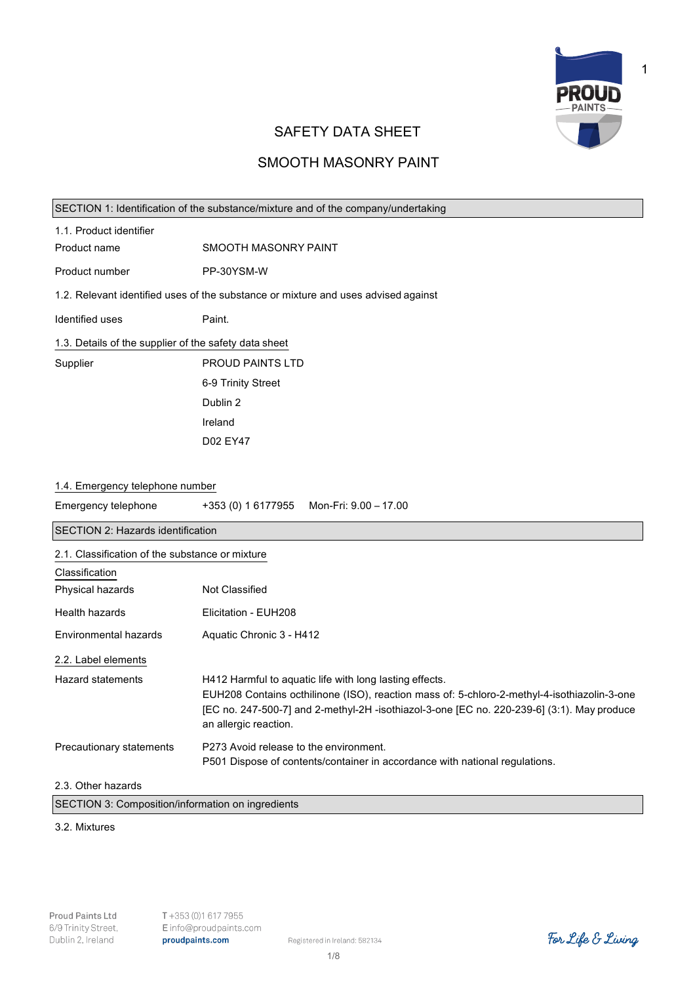

1

# SAFETY DATA SHEET

# SMOOTH MASONRY PAINT

| SECTION 1: Identification of the substance/mixture and of the company/undertaking  |                                                                                                                                                                                                                                                                               |
|------------------------------------------------------------------------------------|-------------------------------------------------------------------------------------------------------------------------------------------------------------------------------------------------------------------------------------------------------------------------------|
| 1.1. Product identifier                                                            |                                                                                                                                                                                                                                                                               |
| Product name                                                                       | SMOOTH MASONRY PAINT                                                                                                                                                                                                                                                          |
| Product number                                                                     | PP-30YSM-W                                                                                                                                                                                                                                                                    |
| 1.2. Relevant identified uses of the substance or mixture and uses advised against |                                                                                                                                                                                                                                                                               |
| Identified uses                                                                    | Paint.                                                                                                                                                                                                                                                                        |
| 1.3. Details of the supplier of the safety data sheet                              |                                                                                                                                                                                                                                                                               |
| Supplier                                                                           | PROUD PAINTS LTD                                                                                                                                                                                                                                                              |
|                                                                                    | 6-9 Trinity Street                                                                                                                                                                                                                                                            |
|                                                                                    | Dublin 2                                                                                                                                                                                                                                                                      |
|                                                                                    | Ireland                                                                                                                                                                                                                                                                       |
|                                                                                    | D02 EY47                                                                                                                                                                                                                                                                      |
|                                                                                    |                                                                                                                                                                                                                                                                               |
| 1.4. Emergency telephone number                                                    |                                                                                                                                                                                                                                                                               |
| Emergency telephone                                                                | +353 (0) 1 6177955<br>Mon-Fri: 9.00 - 17.00                                                                                                                                                                                                                                   |
| SECTION 2: Hazards identification                                                  |                                                                                                                                                                                                                                                                               |
| 2.1. Classification of the substance or mixture                                    |                                                                                                                                                                                                                                                                               |
| Classification                                                                     |                                                                                                                                                                                                                                                                               |
| Physical hazards                                                                   | Not Classified                                                                                                                                                                                                                                                                |
| Health hazards                                                                     | Elicitation - EUH208                                                                                                                                                                                                                                                          |
| Environmental hazards                                                              | Aquatic Chronic 3 - H412                                                                                                                                                                                                                                                      |
| 2.2. Label elements                                                                |                                                                                                                                                                                                                                                                               |
| <b>Hazard statements</b>                                                           | H412 Harmful to aquatic life with long lasting effects.<br>EUH208 Contains octhilinone (ISO), reaction mass of: 5-chloro-2-methyl-4-isothiazolin-3-one<br>[EC no. 247-500-7] and 2-methyl-2H -isothiazol-3-one [EC no. 220-239-6] (3:1). May produce<br>an allergic reaction. |
| Precautionary statements                                                           | P273 Avoid release to the environment.<br>P501 Dispose of contents/container in accordance with national regulations.                                                                                                                                                         |
| 2.3. Other hazards                                                                 |                                                                                                                                                                                                                                                                               |
| SECTION 3: Composition/information on ingredients                                  |                                                                                                                                                                                                                                                                               |

### 3.2. Mixtures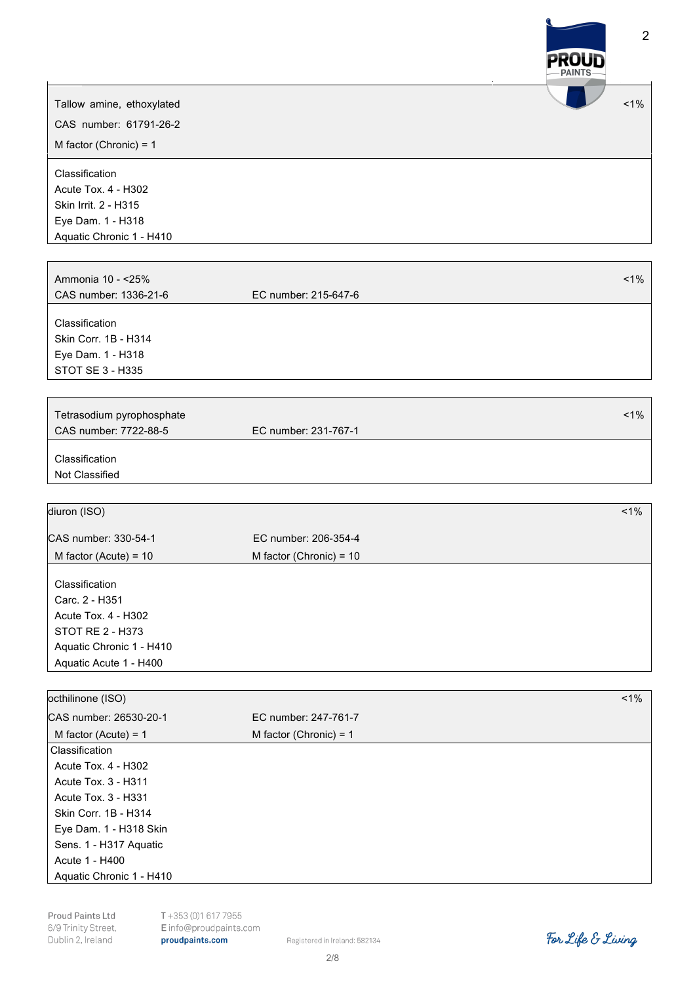

Proud Paints Ltd 6/9 Trinity Street, Dublin 2, Ireland

Registered in Ireland: 582134 2/8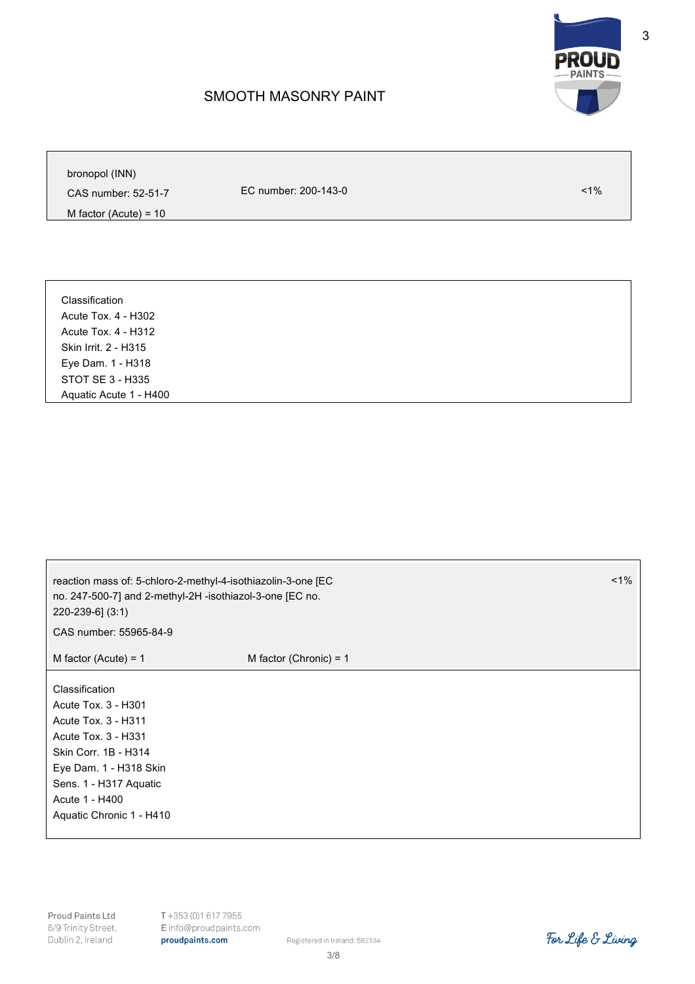

## SMOOTH MASONRY PAINT

bronopol (INN)

CAS number: 52-51-7

EC number: 200-143-0 <1%

M factor (Acute) = 10

Classification Acute Tox. 4 - H302 Acute Tox. 4 - H312 Skin Irrit. 2 - H315 Eye Dam. 1 - H318 STOT SE 3 - H335 Aquatic Acute 1 - H400

reaction mass of: 5-chloro-2-methyl-4-isothiazolin-3-one [EC no. 247-500-7] and 2-methyl-2H -isothiazol-3-one [EC no. 220-239-6] (3:1) CAS number: 55965-84-9  $1%$  $M$  factor (Acute) = 1 M factor (Chronic) = 1 Classification Acute Tox. 3 - H301 Acute Tox. 3 - H311 Acute Tox. 3 - H331 Skin Corr. 1B - H314 Eye Dam. 1 - H318 Skin Sens. 1 - H317 Aquatic Acute 1 - H400 Aquatic Chronic 1 - H410

Proud Paints Ltd 6/9 Trinity Street, Dublin 2, Ireland

T+353 (0)1 617 7955 Einfo@proudpaints.com proudpaints.com

Registered in Ireland: 582134 3/8

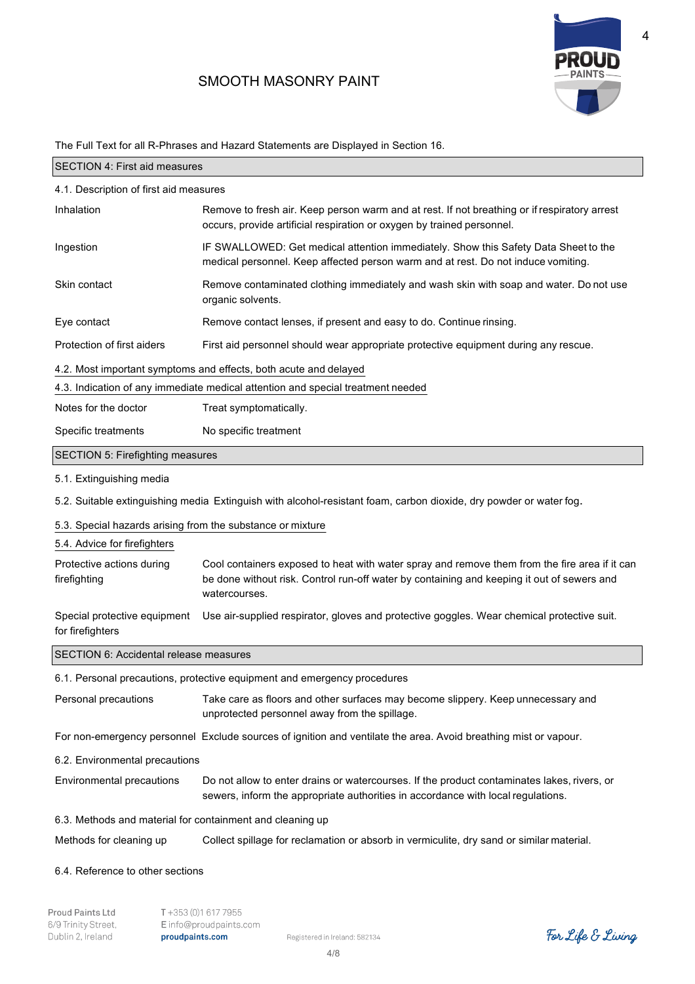# SMOOTH MASONRY PAINT



4

|                                                            | The Full Text for all R-Phrases and Hazard Statements are Displayed in Section To.                                                                                                                           |  |
|------------------------------------------------------------|--------------------------------------------------------------------------------------------------------------------------------------------------------------------------------------------------------------|--|
| <b>SECTION 4: First aid measures</b>                       |                                                                                                                                                                                                              |  |
| 4.1. Description of first aid measures                     |                                                                                                                                                                                                              |  |
| Inhalation                                                 | Remove to fresh air. Keep person warm and at rest. If not breathing or if respiratory arrest<br>occurs, provide artificial respiration or oxygen by trained personnel.                                       |  |
| Ingestion                                                  | IF SWALLOWED: Get medical attention immediately. Show this Safety Data Sheet to the<br>medical personnel. Keep affected person warm and at rest. Do not induce vomiting.                                     |  |
| Skin contact                                               | Remove contaminated clothing immediately and wash skin with soap and water. Do not use<br>organic solvents.                                                                                                  |  |
| Eye contact                                                | Remove contact lenses, if present and easy to do. Continue rinsing.                                                                                                                                          |  |
| Protection of first aiders                                 | First aid personnel should wear appropriate protective equipment during any rescue.                                                                                                                          |  |
|                                                            | 4.2. Most important symptoms and effects, both acute and delayed                                                                                                                                             |  |
|                                                            | 4.3. Indication of any immediate medical attention and special treatment needed                                                                                                                              |  |
| Notes for the doctor                                       | Treat symptomatically.                                                                                                                                                                                       |  |
| Specific treatments                                        | No specific treatment                                                                                                                                                                                        |  |
| <b>SECTION 5: Firefighting measures</b>                    |                                                                                                                                                                                                              |  |
| 5.1. Extinguishing media                                   |                                                                                                                                                                                                              |  |
|                                                            | 5.2. Suitable extinguishing media Extinguish with alcohol-resistant foam, carbon dioxide, dry powder or water fog.                                                                                           |  |
| 5.3. Special hazards arising from the substance or mixture |                                                                                                                                                                                                              |  |
| 5.4. Advice for firefighters                               |                                                                                                                                                                                                              |  |
| Protective actions during<br>firefighting                  | Cool containers exposed to heat with water spray and remove them from the fire area if it can<br>be done without risk. Control run-off water by containing and keeping it out of sewers and<br>watercourses. |  |
| Special protective equipment<br>for firefighters           | Use air-supplied respirator, gloves and protective goggles. Wear chemical protective suit.                                                                                                                   |  |
| <b>SECTION 6: Accidental release measures</b>              |                                                                                                                                                                                                              |  |
|                                                            | 6.1. Personal precautions, protective equipment and emergency procedures                                                                                                                                     |  |
| Personal precautions                                       | Take care as floors and other surfaces may become slippery. Keep unnecessary and<br>unprotected personnel away from the spillage.                                                                            |  |
|                                                            | For non-emergency personnel Exclude sources of ignition and ventilate the area. Avoid breathing mist or vapour.                                                                                              |  |
| 6.2. Environmental precautions                             |                                                                                                                                                                                                              |  |
| Environmental precautions                                  | Do not allow to enter drains or watercourses. If the product contaminates lakes, rivers, or<br>sewers, inform the appropriate authorities in accordance with local regulations.                              |  |
| 6.3. Methods and material for containment and cleaning up  |                                                                                                                                                                                                              |  |
| Methods for cleaning up                                    | Collect spillage for reclamation or absorb in vermiculite, dry sand or similar material.                                                                                                                     |  |
| 6.4. Reference to other sections                           |                                                                                                                                                                                                              |  |

The Full Text for all R-Phrases and Hazard Statements are Displayed in Section 16.

Proud Paints Ltd T+353 (0)1 617 7955 6/9 Trinity Street, E info@proudpaints.com Dublin 2, Ireland proudpaints.com

Registered in Ireland: 582134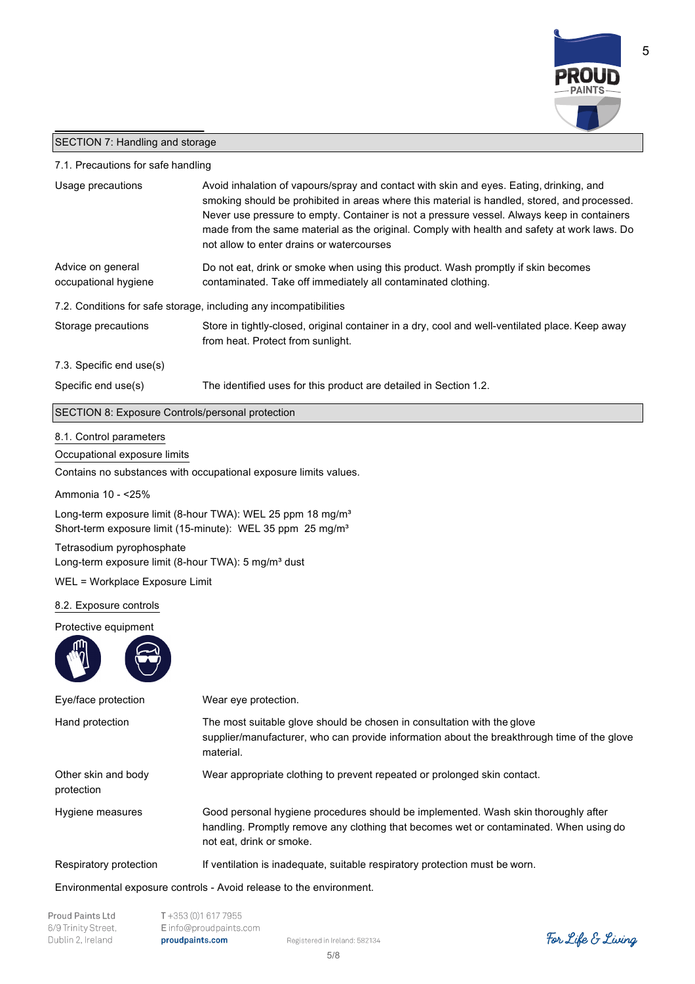

### SECTION 7: Handling and storage

### 7.1. Precautions for safe handling

| Usage precautions                                                                            | Avoid inhalation of vapours/spray and contact with skin and eyes. Eating, drinking, and<br>smoking should be prohibited in areas where this material is handled, stored, and processed.<br>Never use pressure to empty. Container is not a pressure vessel. Always keep in containers<br>made from the same material as the original. Comply with health and safety at work laws. Do<br>not allow to enter drains or watercourses |  |  |
|----------------------------------------------------------------------------------------------|-----------------------------------------------------------------------------------------------------------------------------------------------------------------------------------------------------------------------------------------------------------------------------------------------------------------------------------------------------------------------------------------------------------------------------------|--|--|
| Advice on general<br>occupational hygiene                                                    | Do not eat, drink or smoke when using this product. Wash promptly if skin becomes<br>contaminated. Take off immediately all contaminated clothing.                                                                                                                                                                                                                                                                                |  |  |
|                                                                                              | 7.2. Conditions for safe storage, including any incompatibilities                                                                                                                                                                                                                                                                                                                                                                 |  |  |
| Storage precautions                                                                          | Store in tightly-closed, original container in a dry, cool and well-ventilated place. Keep away<br>from heat. Protect from sunlight.                                                                                                                                                                                                                                                                                              |  |  |
| 7.3. Specific end use(s)                                                                     |                                                                                                                                                                                                                                                                                                                                                                                                                                   |  |  |
| Specific end use(s)                                                                          | The identified uses for this product are detailed in Section 1.2.                                                                                                                                                                                                                                                                                                                                                                 |  |  |
| SECTION 8: Exposure Controls/personal protection                                             |                                                                                                                                                                                                                                                                                                                                                                                                                                   |  |  |
| 8.1. Control parameters<br>Occupational exposure limits                                      |                                                                                                                                                                                                                                                                                                                                                                                                                                   |  |  |
|                                                                                              | Contains no substances with occupational exposure limits values.                                                                                                                                                                                                                                                                                                                                                                  |  |  |
| Ammonia 10 - < 25%                                                                           |                                                                                                                                                                                                                                                                                                                                                                                                                                   |  |  |
|                                                                                              | Long-term exposure limit (8-hour TWA): WEL 25 ppm 18 mg/m <sup>3</sup><br>Short-term exposure limit (15-minute): WEL 35 ppm 25 mg/m <sup>3</sup>                                                                                                                                                                                                                                                                                  |  |  |
| Tetrasodium pyrophosphate<br>Long-term exposure limit (8-hour TWA): 5 mg/m <sup>3</sup> dust |                                                                                                                                                                                                                                                                                                                                                                                                                                   |  |  |
| WEL = Workplace Exposure Limit                                                               |                                                                                                                                                                                                                                                                                                                                                                                                                                   |  |  |
| 8.2. Exposure controls                                                                       |                                                                                                                                                                                                                                                                                                                                                                                                                                   |  |  |
| Protective equipment                                                                         |                                                                                                                                                                                                                                                                                                                                                                                                                                   |  |  |
|                                                                                              |                                                                                                                                                                                                                                                                                                                                                                                                                                   |  |  |
| Eye/face protection                                                                          | Wear eye protection.                                                                                                                                                                                                                                                                                                                                                                                                              |  |  |
| Hand protection                                                                              | The most suitable glove should be chosen in consultation with the glove<br>supplier/manufacturer, who can provide information about the breakthrough time of the glove<br>material.                                                                                                                                                                                                                                               |  |  |
| Other skin and body<br>protection                                                            | Wear appropriate clothing to prevent repeated or prolonged skin contact.                                                                                                                                                                                                                                                                                                                                                          |  |  |
| Hygiene measures                                                                             | Good personal hygiene procedures should be implemented. Wash skin thoroughly after<br>handling. Promptly remove any clothing that becomes wet or contaminated. When using do<br>not eat, drink or smoke.                                                                                                                                                                                                                          |  |  |
|                                                                                              |                                                                                                                                                                                                                                                                                                                                                                                                                                   |  |  |

Respiratory protection If ventilation is inadequate, suitable respiratory protection must be worn.

Environmental exposure controls - Avoid release to the environment.

| Proud Paints Ltd    |
|---------------------|
| 6/9 Trinity Street, |
| Dublin 2. Ireland   |

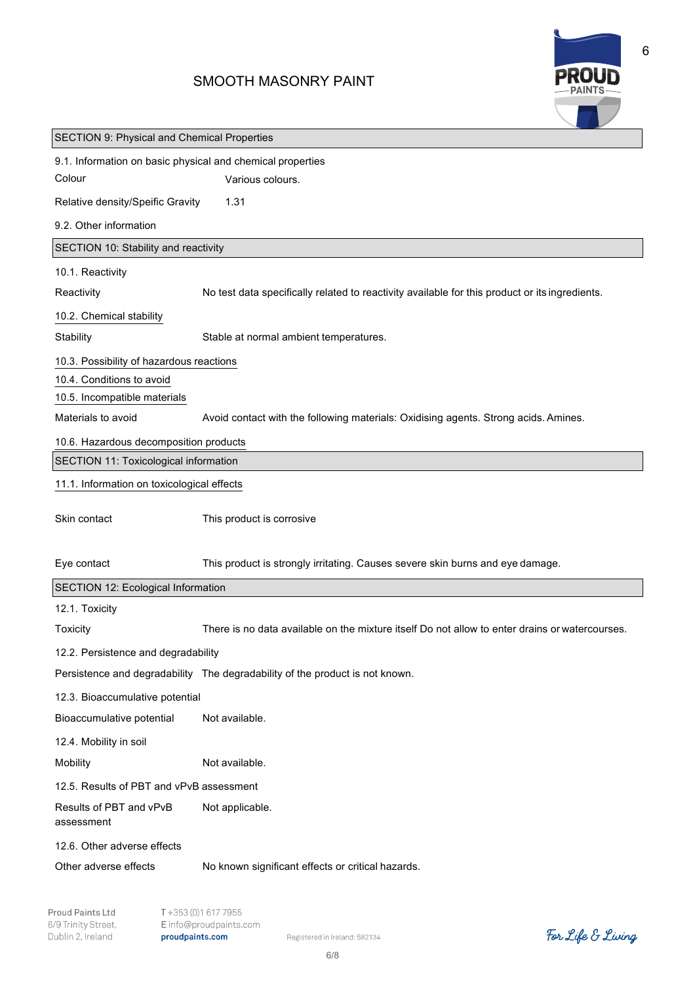# SMOOTH MASONRY PAINT



| <b>SECTION 9: Physical and Chemical Properties</b>         |                                                                                                |
|------------------------------------------------------------|------------------------------------------------------------------------------------------------|
| 9.1. Information on basic physical and chemical properties |                                                                                                |
| Colour                                                     | Various colours.                                                                               |
| Relative density/Speific Gravity                           | 1.31                                                                                           |
| 9.2. Other information                                     |                                                                                                |
| SECTION 10: Stability and reactivity                       |                                                                                                |
| 10.1. Reactivity                                           |                                                                                                |
| Reactivity                                                 | No test data specifically related to reactivity available for this product or its ingredients. |
| 10.2. Chemical stability                                   |                                                                                                |
| Stability                                                  | Stable at normal ambient temperatures.                                                         |
| 10.3. Possibility of hazardous reactions                   |                                                                                                |
| 10.4. Conditions to avoid                                  |                                                                                                |
| 10.5. Incompatible materials                               |                                                                                                |
| Materials to avoid                                         | Avoid contact with the following materials: Oxidising agents. Strong acids. Amines.            |
| 10.6. Hazardous decomposition products                     |                                                                                                |
| SECTION 11: Toxicological information                      |                                                                                                |
| 11.1. Information on toxicological effects                 |                                                                                                |
| Skin contact                                               | This product is corrosive                                                                      |
| Eye contact                                                | This product is strongly irritating. Causes severe skin burns and eye damage.                  |
| SECTION 12: Ecological Information                         |                                                                                                |
| 12.1. Toxicity                                             |                                                                                                |
| <b>Toxicity</b>                                            | There is no data available on the mixture itself Do not allow to enter drains or watercourses  |
| 12.2. Persistence and degradability                        |                                                                                                |
|                                                            | Persistence and degradability The degradability of the product is not known.                   |
| 12.3. Bioaccumulative potential                            |                                                                                                |
| Bioaccumulative potential                                  | Not available.                                                                                 |
| 12.4. Mobility in soil                                     |                                                                                                |
| Mobility                                                   | Not available.                                                                                 |
| 12.5. Results of PBT and vPvB assessment                   |                                                                                                |
| Results of PBT and vPvB<br>assessment                      | Not applicable.                                                                                |
| 12.6. Other adverse effects                                |                                                                                                |
| Other adverse effects                                      | No known significant effects or critical hazards.                                              |

Registered in Ireland: 582134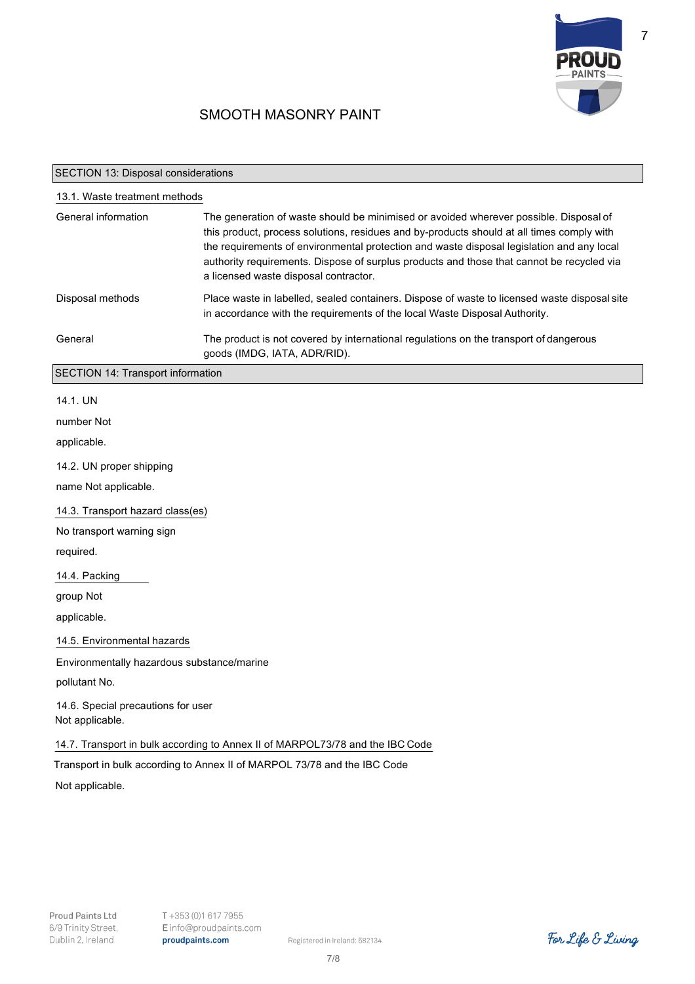

7

# SMOOTH MASONRY PAINT

#### SECTION 13: Disposal considerations

| 13.1. Waste treatment methods |                                                                                                                                                                                                                                                                                                                                                                                                                       |  |
|-------------------------------|-----------------------------------------------------------------------------------------------------------------------------------------------------------------------------------------------------------------------------------------------------------------------------------------------------------------------------------------------------------------------------------------------------------------------|--|
| General information           | The generation of waste should be minimised or avoided wherever possible. Disposal of<br>this product, process solutions, residues and by-products should at all times comply with<br>the requirements of environmental protection and waste disposal legislation and any local<br>authority requirements. Dispose of surplus products and those that cannot be recycled via<br>a licensed waste disposal contractor. |  |
| Disposal methods              | Place waste in labelled, sealed containers. Dispose of waste to licensed waste disposal site<br>in accordance with the requirements of the local Waste Disposal Authority.                                                                                                                                                                                                                                            |  |
| General                       | The product is not covered by international regulations on the transport of dangerous<br>goods (IMDG, IATA, ADR/RID).                                                                                                                                                                                                                                                                                                 |  |

SECTION 14: Transport information

#### 14.1. UN

number Not

applicable.

14.2. UN proper shipping

name Not applicable.

14.3. Transport hazard class(es)

No transport warning sign

required.

14.4. Packing

group Not

applicable.

14.5. Environmental hazards

Environmentally hazardous substance/marine

pollutant No.

14.6. Special precautions for user Not applicable.

14.7. Transport in bulk according to Annex II of MARPOL73/78 and the IBC Code

Transport in bulk according to Annex II of MARPOL 73/78 and the IBC Code

Not applicable.

Registered in Ireland: 582134